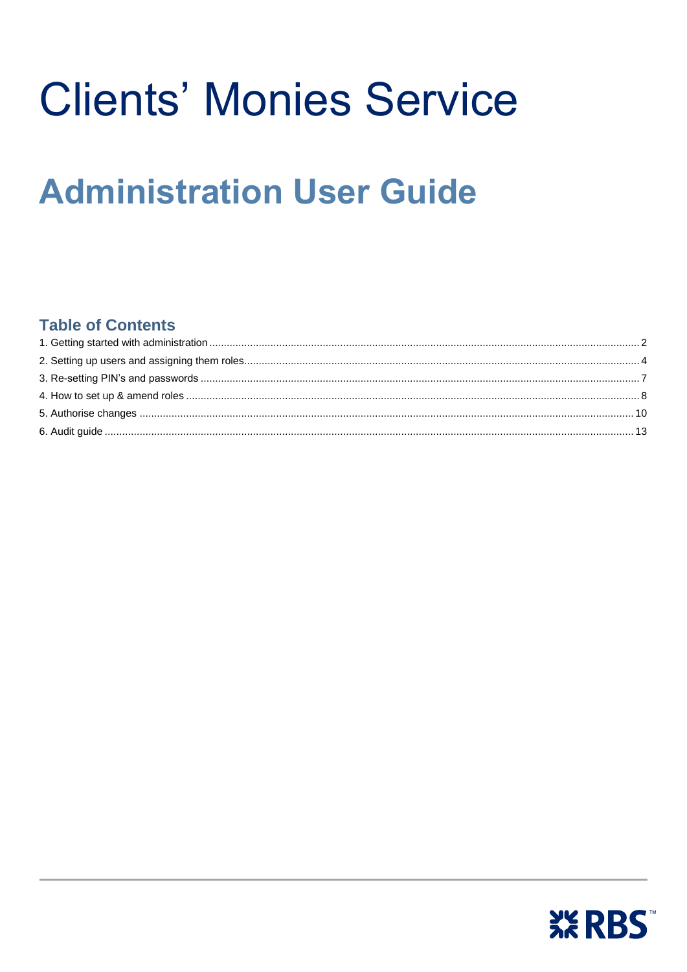# **Clients' Monies Service**

## **Administration User Guide**

### **Table of Contents**

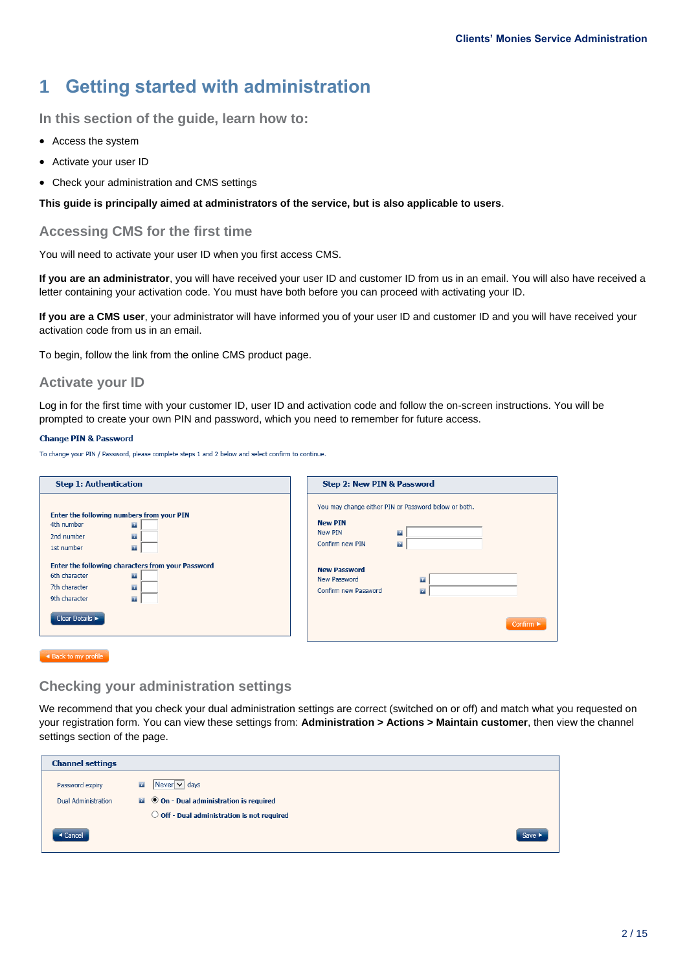## <span id="page-1-0"></span>**1 Getting started with administration**

**In this section of the guide, learn how to:**

- Access the system
- Activate your user ID
- Check your administration and CMS settings

**This guide is principally aimed at administrators of the service, but is also applicable to users**.

#### **Accessing CMS for the first time**

You will need to activate your user ID when you first access CMS.

**If you are an administrator**, you will have received your user ID and customer ID from us in an email. You will also have received a letter containing your activation code. You must have both before you can proceed with activating your ID.

**If you are a CMS user**, your administrator will have informed you of your user ID and customer ID and you will have received your activation code from us in an email.

To begin, follow the link from the online CMS product page.

#### **Activate your ID**

Log in for the first time with your customer ID, user ID and activation code and follow the on-screen instructions. You will be prompted to create your own PIN and password, which you need to remember for future access.

#### **Change PIN & Password**

To change your PIN / Password, please complete steps 1 and 2 below and select confirm to continue.

| <b>Step 1: Authentication</b>                                                                                                                                                                                                                                                                                | Step 2: New PIN & Password                                                                                                                                                                                                                       |
|--------------------------------------------------------------------------------------------------------------------------------------------------------------------------------------------------------------------------------------------------------------------------------------------------------------|--------------------------------------------------------------------------------------------------------------------------------------------------------------------------------------------------------------------------------------------------|
| Enter the following numbers from your PIN<br>4th number<br>$\mathbf{z}$<br>$\mathbf{r}$<br>2nd number<br>$\mathbb{Z}$<br>1st number<br>Enter the following characters from your Password<br>6th character<br>$\mathbf{r}$<br>7th character<br>$\mathbf{r}$<br>9th character<br>$\mathbb{Z}$<br>Clear Details | You may change either PIN or Password below or both.<br><b>New PIN</b><br>New PIN<br>$\mathbf{z}$<br>Confirm new PIN<br>$\mathbf{z}$<br><b>New Password</b><br>New Password<br>$\mathbf{r}$<br>Confirm new Password<br>$\mathbf{r}$<br>Confirm ► |

 $\sim$  Back to my profile

#### **Checking your administration settings**

We recommend that you check your dual administration settings are correct (switched on or off) and match what you requested on your registration form. You can view these settings from: **Administration > Actions > Maintain customer**, then view the channel settings section of the page.

| <b>Channel settings</b>    |                                                              |                            |
|----------------------------|--------------------------------------------------------------|----------------------------|
| Password expiry            | $Newer$ $\vee$ days<br>$\overline{z}$                        |                            |
| <b>Dual Administration</b> | $\blacksquare$ $\Theta$ On - Dual administration is required |                            |
|                            | $\bigcirc$ Off - Dual administration is not required         |                            |
| ◀ Cancel                   |                                                              | Save $\blacktriangleright$ |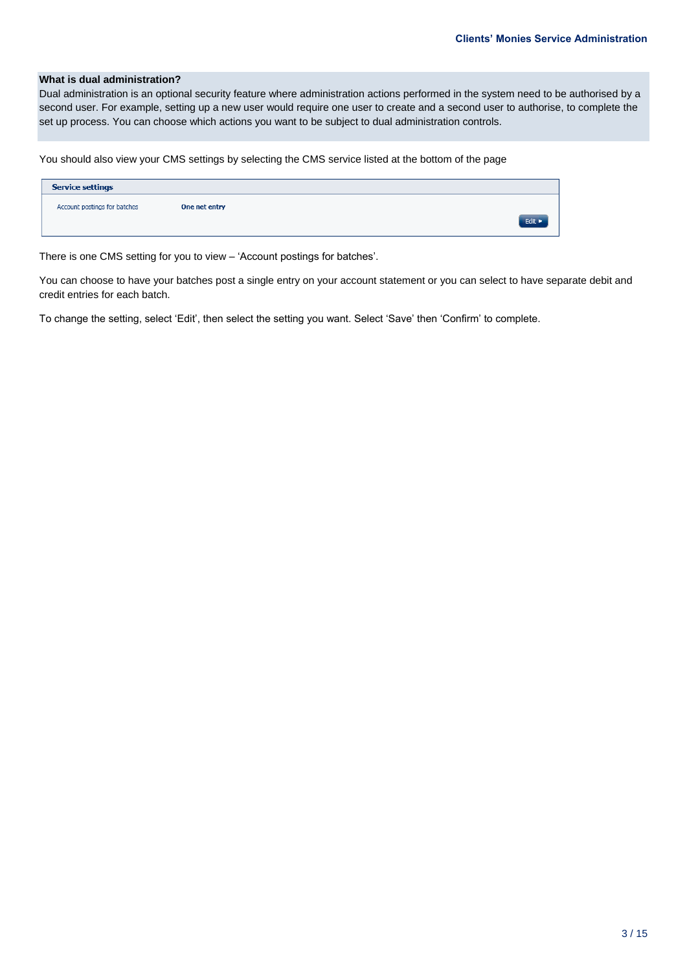#### **What is dual administration?**

Dual administration is an optional security feature where administration actions performed in the system need to be authorised by a second user. For example, setting up a new user would require one user to create and a second user to authorise, to complete the set up process. You can choose which actions you want to be subject to dual administration controls.

You should also view your CMS settings by selecting the CMS service listed at the bottom of the page

| <b>Service settings</b>      |               |        |
|------------------------------|---------------|--------|
| Account postings for batches | One net entry |        |
|                              |               | Edit > |
|                              |               |        |

There is one CMS setting for you to view – 'Account postings for batches'.

You can choose to have your batches post a single entry on your account statement or you can select to have separate debit and credit entries for each batch.

To change the setting, select 'Edit', then select the setting you want. Select 'Save' then 'Confirm' to complete.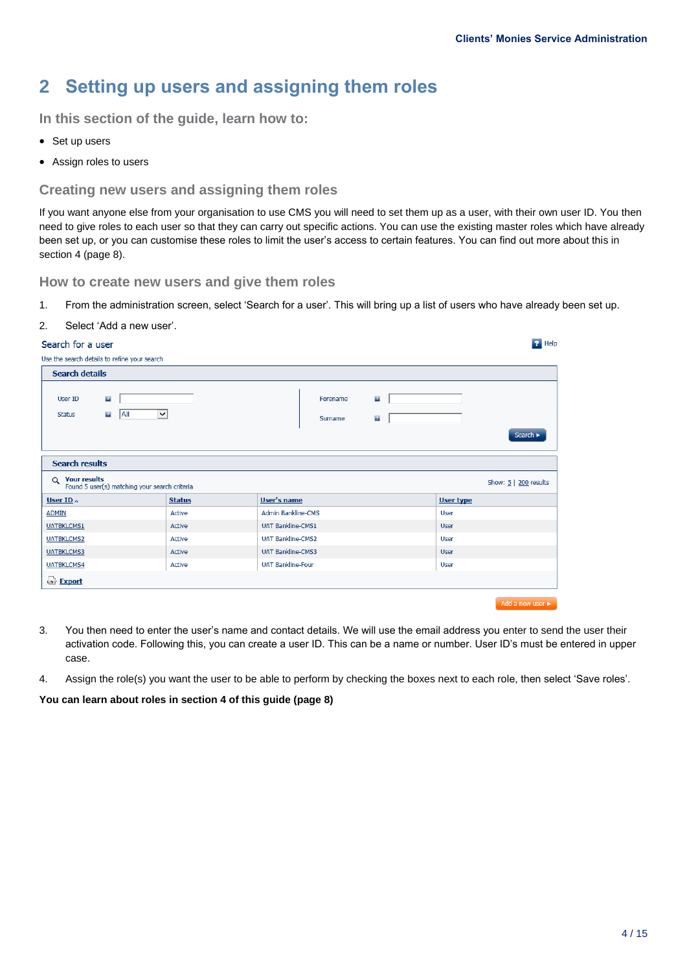## <span id="page-3-0"></span>**2 Setting up users and assigning them roles**

**In this section of the guide, learn how to:**

- Set up users
- Assign roles to users

#### **Creating new users and assigning them roles**

If you want anyone else from your organisation to use CMS you will need to set them up as a user, with their own user ID. You then need to give roles to each user so that they can carry out specific actions. You can use the existing master roles which have already been set up, or you can customise these roles to limit the user's access to certain features. You can find out more about this in section 4 (page 8).

**How to create new users and give them roles**

1. From the administration screen, select 'Search for a user'. This will bring up a list of users who have already been set up.

#### 2. Select 'Add a new user'.

#### Search for a user

| $\overline{P}$ Help<br>Search for a user                        |               |                           |                     |                              |  |                  |                            |
|-----------------------------------------------------------------|---------------|---------------------------|---------------------|------------------------------|--|------------------|----------------------------|
| Use the search details to refine your search                    |               |                           |                     |                              |  |                  |                            |
| <b>Search details</b>                                           |               |                           |                     |                              |  |                  |                            |
| $\mathbf{r}$<br>User ID<br>All<br>$\mathbf{r}$<br><b>Status</b> | $\checkmark$  |                           | Forename<br>Surname | $\mathbf{r}$<br>$\mathbf{z}$ |  |                  | Search I                   |
| <b>Search results</b>                                           |               |                           |                     |                              |  |                  |                            |
| Q Your results<br>Found 5 user(s) matching your search criteria |               |                           |                     |                              |  |                  | Show: $5 \mid 200$ results |
| User ID $\Delta$                                                | <b>Status</b> | <b>User's name</b>        |                     |                              |  | <b>User type</b> |                            |
| <b>ADMIN</b>                                                    | Active        | <b>Admin Bankline-CMS</b> |                     |                              |  | User             |                            |
| <b>UATBKLCMS1</b>                                               | Active        | <b>UAT Bankline-CMS1</b>  |                     |                              |  | User             |                            |
| <b>UATBKLCMS2</b>                                               | Active        | <b>UAT Bankline-CMS2</b>  |                     |                              |  | User             |                            |
| <b>UATBKLCMS3</b>                                               | Active        | <b>UAT Bankline-CMS3</b>  |                     |                              |  | User             |                            |
| <b>UATBKLCMS4</b>                                               | Active        | <b>UAT Bankline-Four</b>  |                     |                              |  | User             |                            |
| Export                                                          |               |                           |                     |                              |  |                  |                            |
|                                                                 |               |                           |                     |                              |  |                  | Add a new user             |

- 3. You then need to enter the user's name and contact details. We will use the email address you enter to send the user their activation code. Following this, you can create a user ID. This can be a name or number. User ID's must be entered in upper case.
- 4. Assign the role(s) you want the user to be able to perform by checking the boxes next to each role, then select 'Save roles'.

**You can learn about roles in section 4 of this guide (page 8)**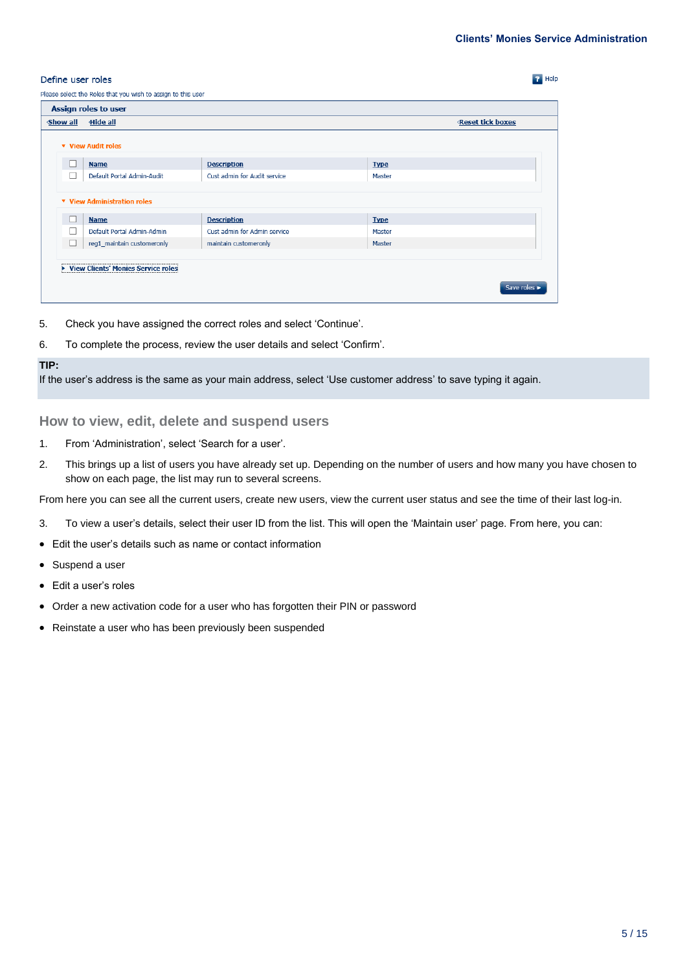**P** Help

#### Define user roles

| <b>Show all</b> | Hide all                                          |                              |             | <b>Reset tick boxes</b> |
|-----------------|---------------------------------------------------|------------------------------|-------------|-------------------------|
|                 | <b>v</b> View Audit roles                         |                              |             |                         |
|                 | <b>Name</b>                                       | <b>Description</b>           | <b>Type</b> |                         |
| $\Box$          | Default Portal Admin-Audit                        | Cust admin for Audit service | Master      |                         |
|                 | <b>v</b> View Administration roles<br><b>Name</b> | <b>Description</b>           | <b>Type</b> |                         |
|                 | Default Portal Admin-Admin                        | Cust admin for Admin service | Master      |                         |
| □               | reg1_maintain customeronly                        | maintain customeronly        | Master      |                         |
|                 |                                                   |                              |             |                         |

- 5. Check you have assigned the correct roles and select 'Continue'.
- 6. To complete the process, review the user details and select 'Confirm'.

#### **TIP:**

If the user's address is the same as your main address, select 'Use customer address' to save typing it again.

#### **How to view, edit, delete and suspend users**

- 1. From 'Administration', select 'Search for a user'.
- 2. This brings up a list of users you have already set up. Depending on the number of users and how many you have chosen to show on each page, the list may run to several screens.

From here you can see all the current users, create new users, view the current user status and see the time of their last log-in.

- 3. To view a user's details, select their user ID from the list. This will open the 'Maintain user' page. From here, you can:
- Edit the user's details such as name or contact information
- Suspend a user
- Edit a user's roles
- Order a new activation code for a user who has forgotten their PIN or password
- Reinstate a user who has been previously been suspended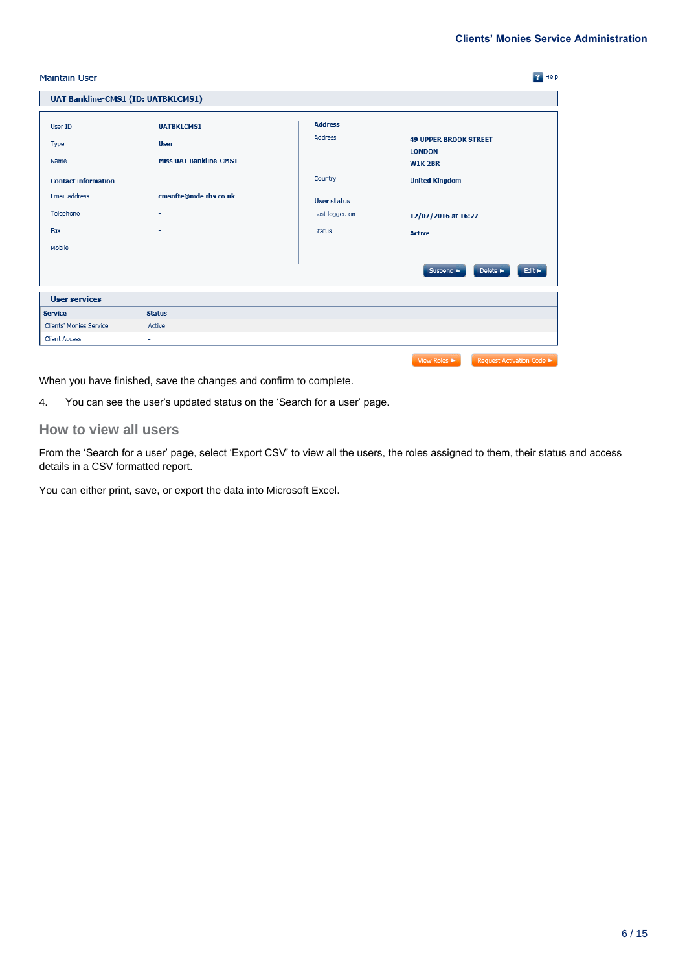.<br>bde ►

| <b>Maintain User</b>                      |                                              |                           | $P$ Help                                            |
|-------------------------------------------|----------------------------------------------|---------------------------|-----------------------------------------------------|
| <b>UAT Bankline-CMS1 (ID: UATBKLCMS1)</b> |                                              |                           |                                                     |
| User ID                                   | <b>UATBKLCMS1</b>                            | <b>Address</b><br>Address | <b>49 UPPER BROOK STREET</b>                        |
| Type<br>Name                              | <b>User</b><br><b>Miss UAT Bankline-CMS1</b> |                           | <b>LONDON</b><br><b>W1K2BR</b>                      |
| <b>Contact information</b>                |                                              | Country                   | <b>United Kingdom</b>                               |
| Email address                             | cmsnfte@mde.rbs.co.uk                        | <b>User status</b>        |                                                     |
| Telephone                                 |                                              | Last logged on            | 12/07/2016 at 16:27                                 |
| Fax                                       |                                              | <b>Status</b>             | <b>Active</b>                                       |
| Mobile                                    |                                              |                           |                                                     |
|                                           |                                              |                           | Suspend ><br>Delete ><br>Edit $\blacktriangleright$ |
| <b>User services</b>                      |                                              |                           |                                                     |
| <b>Service</b>                            | <b>Status</b>                                |                           |                                                     |
| Clients' Monies Service                   | Active                                       |                           |                                                     |
| <b>Client Access</b>                      | ÷                                            |                           |                                                     |

When you have finished, save the changes and confirm to complete.

4. You can see the user's updated status on the 'Search for a user' page.

#### **How to view all users**

From the 'Search for a user' page, select 'Export CSV' to view all the users, the roles assigned to them, their status and access details in a CSV formatted report.

You can either print, save, or export the data into Microsoft Excel.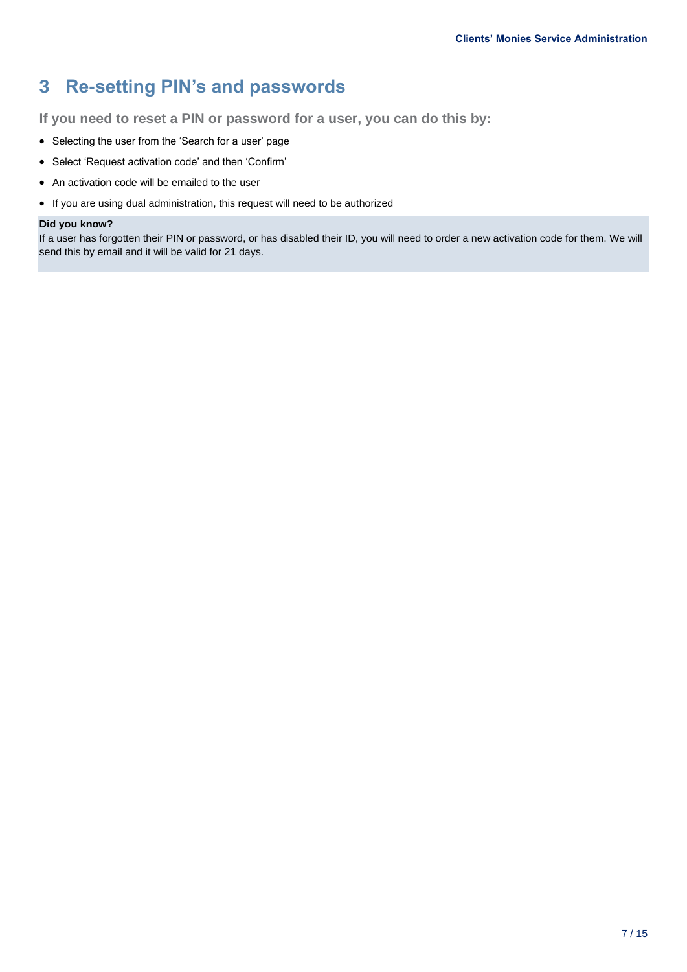## <span id="page-6-0"></span>**3 Re-setting PIN's and passwords**

**If you need to reset a PIN or password for a user, you can do this by:**

- Selecting the user from the 'Search for a user' page
- Select 'Request activation code' and then 'Confirm'
- An activation code will be emailed to the user
- If you are using dual administration, this request will need to be authorized

#### **Did you know?**

If a user has forgotten their PIN or password, or has disabled their ID, you will need to order a new activation code for them. We will send this by email and it will be valid for 21 days.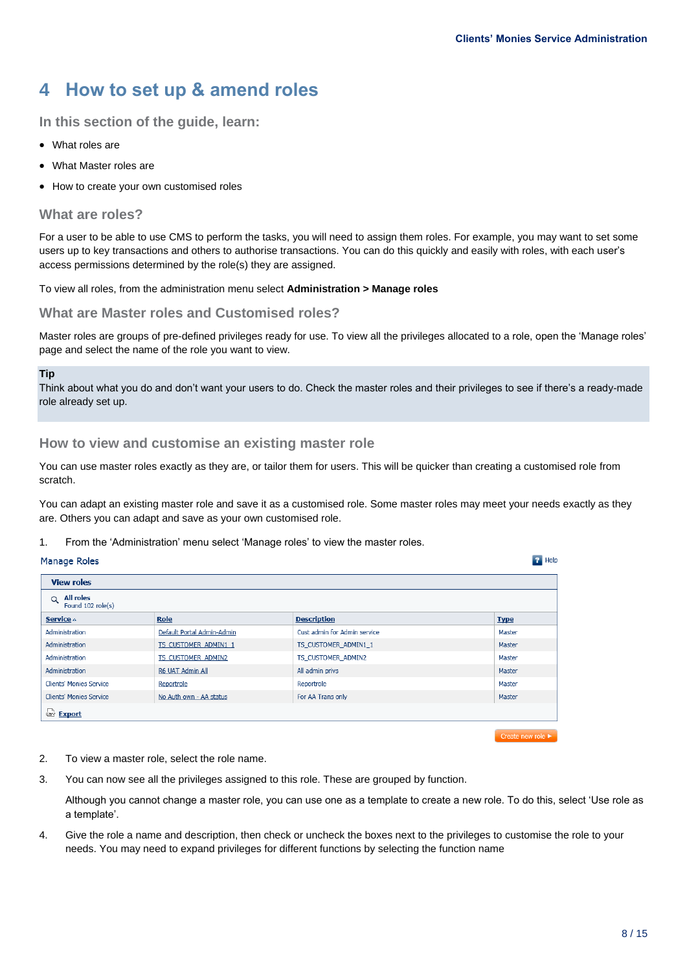## <span id="page-7-0"></span>**4 How to set up & amend roles**

#### **In this section of the guide, learn:**

- What roles are
- What Master roles are
- How to create your own customised roles

#### **What are roles?**

For a user to be able to use CMS to perform the tasks, you will need to assign them roles. For example, you may want to set some users up to key transactions and others to authorise transactions. You can do this quickly and easily with roles, with each user's access permissions determined by the role(s) they are assigned.

To view all roles, from the administration menu select **Administration > Manage roles**

#### **What are Master roles and Customised roles?**

Master roles are groups of pre-defined privileges ready for use. To view all the privileges allocated to a role, open the 'Manage roles' page and select the name of the role you want to view.

#### **Tip**

Think about what you do and don't want your users to do. Check the master roles and their privileges to see if there's a ready-made role already set up.

#### **How to view and customise an existing master role**

You can use master roles exactly as they are, or tailor them for users. This will be quicker than creating a customised role from scratch.

You can adapt an existing master role and save it as a customised role. Some master roles may meet your needs exactly as they are. Others you can adapt and save as your own customised role.

#### 1. From the 'Administration' menu select 'Manage roles' to view the master roles.

#### Manage Roles

| <b>View roles</b>                                 |                            |                              |             |
|---------------------------------------------------|----------------------------|------------------------------|-------------|
| <b>All roles</b><br>$\alpha$<br>Found 102 role(s) |                            |                              |             |
| Service $\triangle$                               | Role                       | <b>Description</b>           | <b>Type</b> |
| Administration                                    | Default Portal Admin-Admin | Cust admin for Admin service | Master      |
| Administration                                    | TS CUSTOMER ADMIN1 1       | TS CUSTOMER ADMIN1 1         | Master      |
| Administration                                    | TS CUSTOMER ADMIN2         | TS CUSTOMER ADMIN2           | Master      |
| Administration                                    | R6 UAT Admin All           | All admin privs              | Master      |
| Clients' Monies Service                           | Reportrole                 | Reportrole                   | Master      |
| <b>Clients' Monies Service</b>                    | No Auth own - AA status    | For AA Trans only            | Master      |
| Export                                            |                            |                              |             |
|                                                   |                            |                              |             |

Create new role

 $P$  Help

- 2. To view a master role, select the role name.
- 3. You can now see all the privileges assigned to this role. These are grouped by function.

Although you cannot change a master role, you can use one as a template to create a new role. To do this, select 'Use role as a template'.

4. Give the role a name and description, then check or uncheck the boxes next to the privileges to customise the role to your needs. You may need to expand privileges for different functions by selecting the function name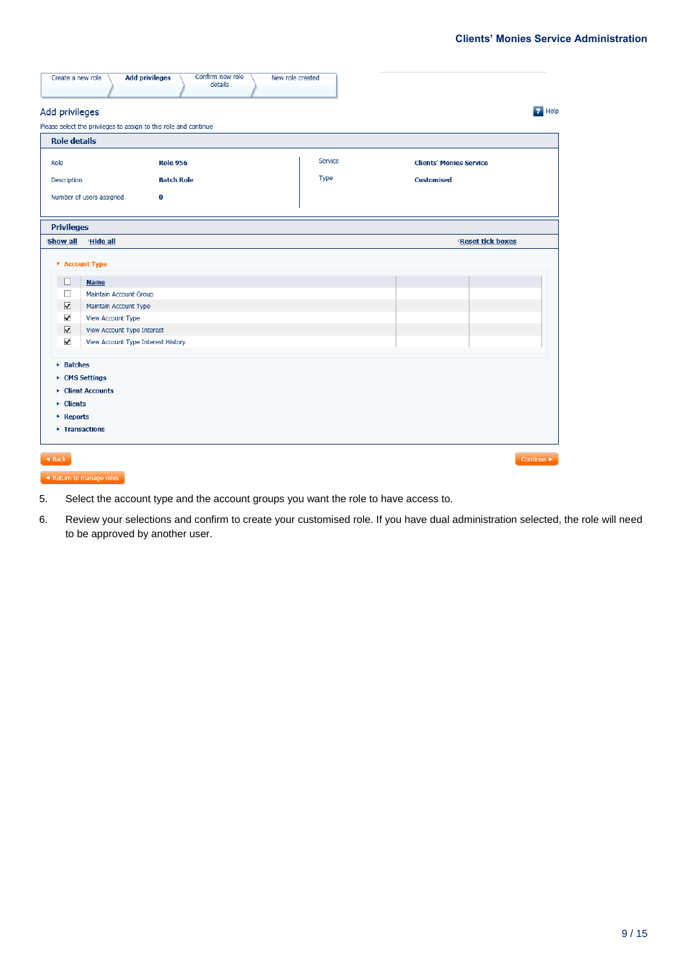| Create a new role                                                                                                                                  | Confirm new role<br><b>Add privileges</b><br>New role created<br>details                                                                                |         |                                |
|----------------------------------------------------------------------------------------------------------------------------------------------------|---------------------------------------------------------------------------------------------------------------------------------------------------------|---------|--------------------------------|
| Add privileges                                                                                                                                     |                                                                                                                                                         |         | <b>P</b> Help                  |
|                                                                                                                                                    | Please select the privileges to assign to this role and continue                                                                                        |         |                                |
| <b>Role details</b>                                                                                                                                |                                                                                                                                                         |         |                                |
| Role                                                                                                                                               | <b>Role 956</b>                                                                                                                                         | Service | <b>Clients' Monies Service</b> |
| Description                                                                                                                                        | <b>Batch Role</b>                                                                                                                                       | Type    | <b>Customised</b>              |
|                                                                                                                                                    | Number of users assigned<br>0                                                                                                                           |         |                                |
| <b>Privileges</b>                                                                                                                                  |                                                                                                                                                         |         |                                |
| <b>Show all</b>                                                                                                                                    | Hide all                                                                                                                                                |         | Reset tick boxes               |
| <b>v</b> Account Type<br>$\Box$<br>П<br>$\overline{\blacktriangledown}$<br>$\blacktriangledown$<br>$\overline{\textbf{v}}$<br>$\blacktriangledown$ | <b>Name</b><br>Maintain Account Group<br>Maintain Account Type<br>View Account Type<br>View Account Type Interest<br>View Account Type Interest History |         |                                |
| $\triangleright$ Batches<br>▶ CMS Settings<br>$\triangleright$ Clients<br>▶ Reports<br>▶ Transactions                                              | ▶ Client Accounts                                                                                                                                       |         |                                |
| $\triangleleft$ Back                                                                                                                               |                                                                                                                                                         |         | Continue $\blacktriangleright$ |

- $\overline{\phantom{a}}$  Return to manage roles
- 5. Select the account type and the account groups you want the role to have access to.
- 6. Review your selections and confirm to create your customised role. If you have dual administration selected, the role will need to be approved by another user.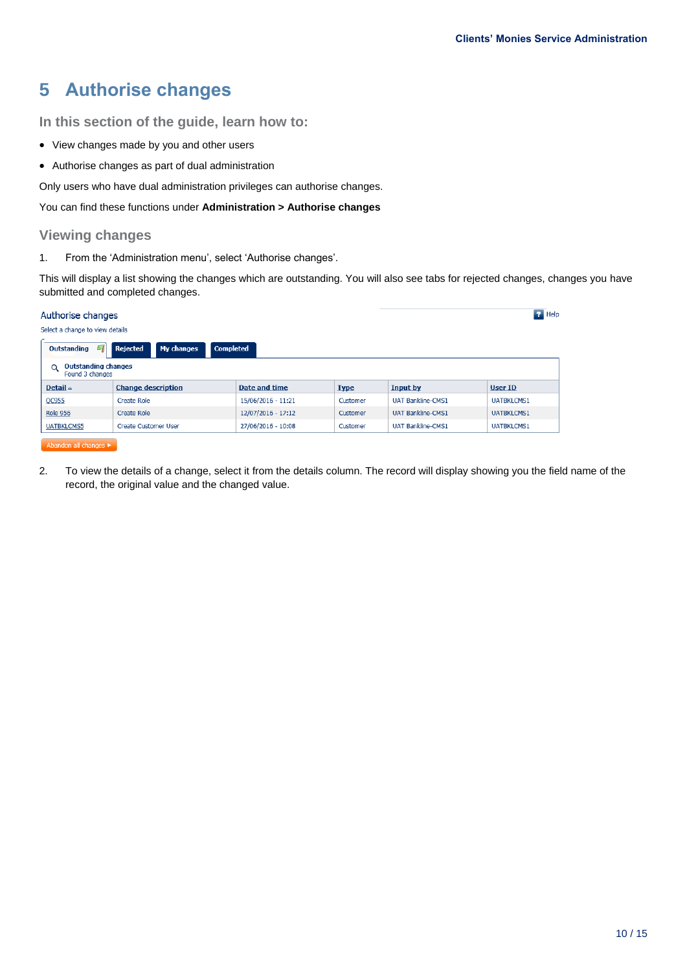## <span id="page-9-0"></span>**5 Authorise changes**

**In this section of the guide, learn how to:**

- View changes made by you and other users
- Authorise changes as part of dual administration

Only users who have dual administration privileges can authorise changes.

You can find these functions under **Administration > Authorise changes**

#### **Viewing changes**

1. From the 'Administration menu', select 'Authorise changes'.

This will display a list showing the changes which are outstanding. You will also see tabs for rejected changes, changes you have submitted and completed changes.

| $P$ Help<br>Authorise changes                                   |                                 |                      |             |                          |                   |  |  |
|-----------------------------------------------------------------|---------------------------------|----------------------|-------------|--------------------------|-------------------|--|--|
|                                                                 | Select a change to view details |                      |             |                          |                   |  |  |
| My changes<br><b>Completed</b><br>Outstanding<br>Rejected<br>σ. |                                 |                      |             |                          |                   |  |  |
| <b>Outstanding changes</b><br>$\alpha$<br>Found 3 changes       |                                 |                      |             |                          |                   |  |  |
| Detail $\triangle$                                              | <b>Change description</b>       | <b>Date and time</b> | <b>Type</b> | <b>Input by</b>          | <b>User ID</b>    |  |  |
| QC955                                                           | Create Role                     | 15/06/2016 - 11:21   | Customer    | <b>UAT Bankline-CMS1</b> | <b>UATBKLCMS1</b> |  |  |
| <b>Role 956</b>                                                 | Create Role                     | 12/07/2016 - 17:12   | Customer    | <b>UAT Bankline-CMS1</b> | <b>UATBKLCMS1</b> |  |  |
| <b>UATBKLCMS5</b>                                               | <b>Create Customer User</b>     | 27/06/2016 - 10:08   | Customer    | <b>UAT Bankline-CMS1</b> | <b>UATBKLCMS1</b> |  |  |
| Abandon all changes                                             |                                 |                      |             |                          |                   |  |  |

2. To view the details of a change, select it from the details column. The record will display showing you the field name of the record, the original value and the changed value.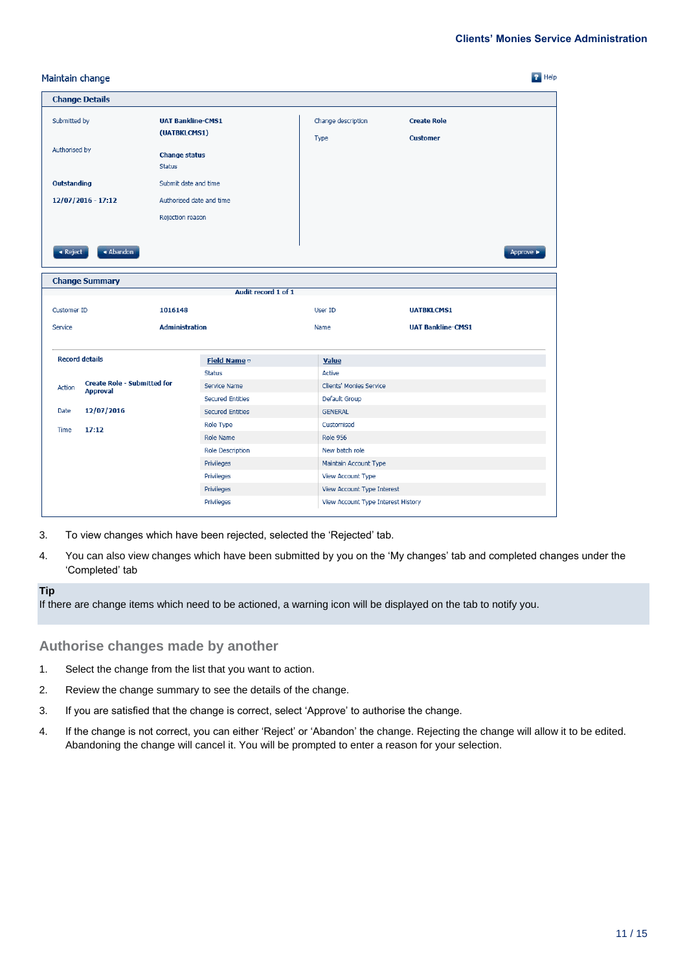|             | $P$ Help<br>Maintain change                                                                                        |                          |                         |                                    |                                       |           |  |
|-------------|--------------------------------------------------------------------------------------------------------------------|--------------------------|-------------------------|------------------------------------|---------------------------------------|-----------|--|
|             | <b>Change Details</b>                                                                                              |                          |                         |                                    |                                       |           |  |
|             | Submitted by<br><b>UAT Bankline-CMS1</b><br>(UATBKLCMS1)<br>Authorised by<br><b>Change status</b><br><b>Status</b> |                          |                         | Change description<br>Type         | <b>Create Role</b><br><b>Customer</b> |           |  |
| Outstanding |                                                                                                                    | Submit date and time     |                         |                                    |                                       |           |  |
|             | 12/07/2016 - 17:12                                                                                                 | Authorised date and time |                         |                                    |                                       |           |  |
|             |                                                                                                                    | Rejection reason         |                         |                                    |                                       |           |  |
|             |                                                                                                                    |                          |                         |                                    |                                       |           |  |
| « Reject    | ◀ Abandon                                                                                                          |                          |                         |                                    |                                       | Approve » |  |
|             | <b>Change Summary</b>                                                                                              |                          |                         |                                    |                                       |           |  |
|             |                                                                                                                    |                          | Audit record 1 of 1     |                                    |                                       |           |  |
| Customer ID |                                                                                                                    | 1016148                  |                         | User ID                            | <b>UATBKLCMS1</b>                     |           |  |
| Service     |                                                                                                                    | <b>Administration</b>    |                         | Name                               | <b>UAT Bankline-CMS1</b>              |           |  |
|             |                                                                                                                    |                          |                         |                                    |                                       |           |  |
|             | <b>Record details</b>                                                                                              |                          | Field Name v            | <b>Value</b>                       |                                       |           |  |
|             |                                                                                                                    |                          | <b>Status</b>           | Active                             |                                       |           |  |
| Action      | <b>Create Role - Submitted for</b><br><b>Approval</b>                                                              |                          | Service Name            | Clients' Monies Service            |                                       |           |  |
|             |                                                                                                                    |                          | <b>Secured Entities</b> | Default Group                      |                                       |           |  |
| Date        | 12/07/2016                                                                                                         |                          | <b>Secured Entities</b> | <b>GENERAL</b>                     |                                       |           |  |
| Time        | 17:12                                                                                                              |                          | Role Type               | Customised                         |                                       |           |  |
|             |                                                                                                                    |                          | Role Name               | <b>Role 956</b>                    |                                       |           |  |
|             |                                                                                                                    |                          | <b>Role Description</b> | New batch role                     |                                       |           |  |
|             |                                                                                                                    |                          | Privileges              | Maintain Account Type              |                                       |           |  |
|             |                                                                                                                    |                          | Privileges              | View Account Type                  |                                       |           |  |
|             |                                                                                                                    |                          | Privileges              | View Account Type Interest         |                                       |           |  |
|             |                                                                                                                    |                          | Privileges              | View Account Type Interest History |                                       |           |  |

- 3. To view changes which have been rejected, selected the 'Rejected' tab.
- 4. You can also view changes which have been submitted by you on the 'My changes' tab and completed changes under the 'Completed' tab

#### **Tip**

If there are change items which need to be actioned, a warning icon will be displayed on the tab to notify you.

#### **Authorise changes made by another**

- 1. Select the change from the list that you want to action.
- 2. Review the change summary to see the details of the change.
- 3. If you are satisfied that the change is correct, select 'Approve' to authorise the change.
- 4. If the change is not correct, you can either 'Reject' or 'Abandon' the change. Rejecting the change will allow it to be edited. Abandoning the change will cancel it. You will be prompted to enter a reason for your selection.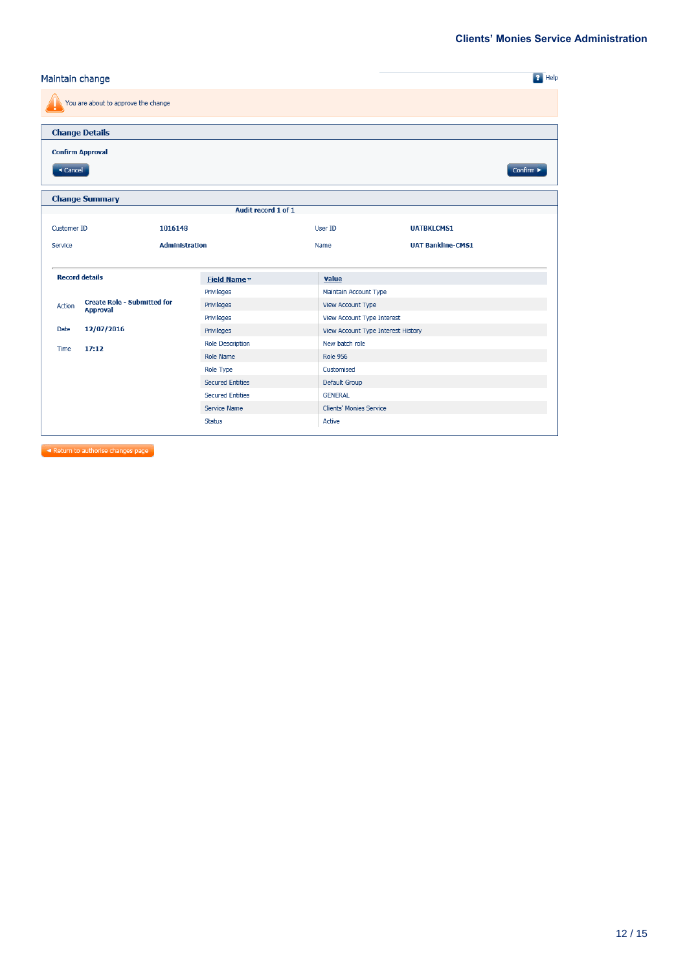#### $\overline{P}$  Help Maintain change You are about to approve the change **Change Details Confirm Approval**  $\overline{\phantom{a}}$  Cancel  $Confirm \triangleright$ **Change Summary** Audit record 1 of 1 User ID **UATBKLCMS1** Customer ID 1016148 Administration **UAT Bankline-CMS1** Service Name **Record details** Field Name Value Privileges Maintain Account Type Create Role - Submitted for<br>Approval Privileges View Account Type Action Privileges View Account Type Interest 12/07/2016 Date Privileges View Account Type Interest History Role Description New batch role  $17:12$ Time Role Name **Role 956** Role Type Customised **Secured Entities** Default Group **Secured Entities GENERAL** Service Name Clients' Monies Service Status Active

Return to authorise changes page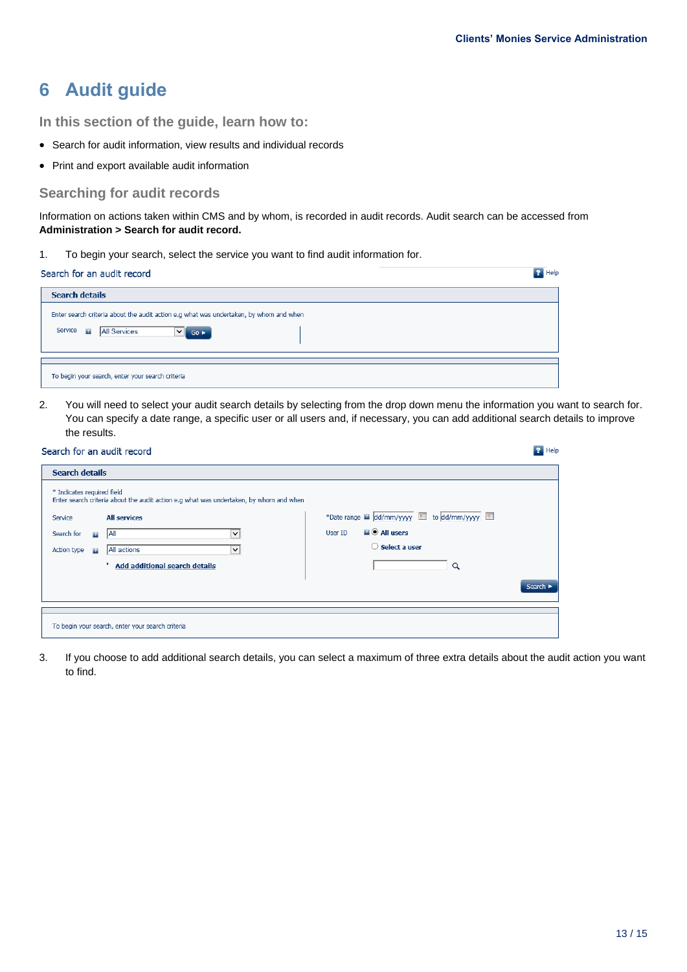$\overline{P}$  Help

## <span id="page-12-0"></span>**6 Audit guide**

**In this section of the guide, learn how to:**

- Search for audit information, view results and individual records
- Print and export available audit information

#### **Searching for audit records**

Information on actions taken within CMS and by whom, is recorded in audit records. Audit search can be accessed from **Administration > Search for audit record.**

1. To begin your search, select the service you want to find audit information for.

| Search for an audit record                                                                                                                                    | $\mathbf{F}$ Help |
|---------------------------------------------------------------------------------------------------------------------------------------------------------------|-------------------|
| <b>Search details</b>                                                                                                                                         |                   |
| Enter search criteria about the audit action e.g what was undertaken, by whom and when<br>Service <b>R</b><br><b>All Services</b><br>◡<br>$Go \triangleright$ |                   |
| To begin your search, enter your search criteria                                                                                                              |                   |

2. You will need to select your audit search details by selecting from the drop down menu the information you want to search for. You can specify a date range, a specific user or all users and, if necessary, you can add additional search details to improve the results.

#### Search for an audit record

| <b>Search details</b>                                                                                                |                                             |
|----------------------------------------------------------------------------------------------------------------------|---------------------------------------------|
| * Indicates required field<br>Enter search criteria about the audit action e.g what was undertaken, by whom and when |                                             |
| <b>All services</b><br>Service                                                                                       | *Date range a dd/mm/yyyy ill to dd/mm/yyyy  |
| Search for<br><b>AII</b><br>$\checkmark$<br>21                                                                       | $\blacksquare$ $\odot$ All users<br>User ID |
| All actions<br>Action type<br>$\checkmark$<br>$\mathbf{z}$                                                           | $\bigcirc$ Select a user                    |
| <b>Add additional search details</b>                                                                                 | Q                                           |
|                                                                                                                      | Search $\blacktriangleright$                |
|                                                                                                                      |                                             |
| To begin your search, enter your search criteria                                                                     |                                             |

3. If you choose to add additional search details, you can select a maximum of three extra details about the audit action you want to find.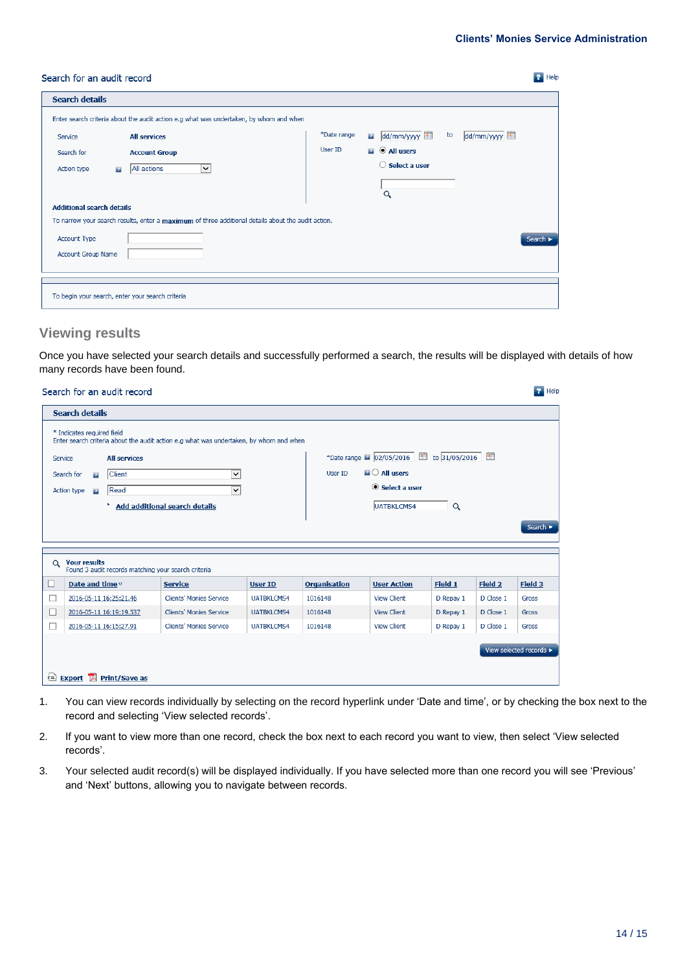**P** Help

#### Search for an audit record

| <b>Search details</b>                                                                              |                                                                                        |             |              |                                   |    |            |        |  |
|----------------------------------------------------------------------------------------------------|----------------------------------------------------------------------------------------|-------------|--------------|-----------------------------------|----|------------|--------|--|
|                                                                                                    | Enter search criteria about the audit action e.g what was undertaken, by whom and when |             |              |                                   |    |            |        |  |
| Service                                                                                            | <b>All services</b>                                                                    | *Date range | $\mathbf{r}$ | dd/mm/yyyy                        | to | dd/mm/yyyy |        |  |
| Search for                                                                                         | <b>Account Group</b>                                                                   | User ID     |              | $\blacksquare$ $\Theta$ All users |    |            |        |  |
| Action type<br>$\mathbf{r}$                                                                        | All actions<br>$\check{~}$                                                             |             |              | $\bigcirc$ Select a user          |    |            |        |  |
|                                                                                                    |                                                                                        |             |              |                                   |    |            |        |  |
|                                                                                                    |                                                                                        |             |              | Q                                 |    |            |        |  |
|                                                                                                    | <b>Additional search details</b>                                                       |             |              |                                   |    |            |        |  |
| To narrow your search results, enter a maximum of three additional details about the audit action. |                                                                                        |             |              |                                   |    |            |        |  |
| Account Type                                                                                       |                                                                                        |             |              |                                   |    |            |        |  |
|                                                                                                    |                                                                                        |             |              |                                   |    |            | Search |  |
| Account Group Name                                                                                 |                                                                                        |             |              |                                   |    |            |        |  |
|                                                                                                    |                                                                                        |             |              |                                   |    |            |        |  |
|                                                                                                    |                                                                                        |             |              |                                   |    |            |        |  |
|                                                                                                    |                                                                                        |             |              |                                   |    |            |        |  |
| To begin your search, enter your search criteria                                                   |                                                                                        |             |              |                                   |    |            |        |  |

#### **Viewing results**

Once you have selected your search details and successfully performed a search, the results will be displayed with details of how many records have been found.

|                                 | Search for an audit record                          |                                                                                        |                   |                     |                                     |               |           | $\blacksquare$ Help          |
|---------------------------------|-----------------------------------------------------|----------------------------------------------------------------------------------------|-------------------|---------------------|-------------------------------------|---------------|-----------|------------------------------|
| <b>Search details</b>           |                                                     |                                                                                        |                   |                     |                                     |               |           |                              |
| * Indicates required field      |                                                     | Enter search criteria about the audit action e.g what was undertaken, by whom and when |                   |                     |                                     |               |           |                              |
| Service                         | <b>All services</b>                                 |                                                                                        |                   |                     | *Date range 2 02/05/2016            | to 31/05/2016 |           |                              |
| Search for                      | Client<br>$\mathbb{R}$                              | $\checkmark$                                                                           |                   | User ID             | $\blacksquare$ $\bigcirc$ All users |               |           |                              |
| Action type                     | Read<br>$\mathbf{B}$                                | $\checkmark$                                                                           |                   |                     | $\odot$ Select a user               |               |           |                              |
|                                 |                                                     | <b>Add additional search details</b>                                                   |                   |                     | UATBKLCMS4                          | Q             |           |                              |
|                                 |                                                     |                                                                                        |                   |                     |                                     |               |           |                              |
|                                 |                                                     |                                                                                        |                   |                     |                                     |               |           | Search $\blacktriangleright$ |
|                                 |                                                     |                                                                                        |                   |                     |                                     |               |           |                              |
| <b>Your results</b><br>$\alpha$ | Found 3 audit records matching your search criteria |                                                                                        |                   |                     |                                     |               |           |                              |
| ப                               | Date and time $\triangledown$                       | <b>Service</b>                                                                         | <b>User ID</b>    | <b>Organisation</b> | <b>User Action</b>                  | Field 1       | Field 2   | Field 3                      |
| ∟                               | 2016-05-11 16:25:21.46                              | Clients' Monies Service                                                                | <b>UATBKLCMS4</b> | 1016148             | <b>View Client</b>                  | D Repay 1     | D Close 1 | Gross                        |
|                                 | 2016-05-11 16:19:19.537                             | <b>Clients' Monies Service</b>                                                         | <b>UATBKLCMS4</b> | 1016148             | <b>View Client</b>                  | D Repay 1     | D Close 1 | Gross                        |
|                                 | 2016-05-11 16:15:27.91                              | Clients' Monies Service                                                                | <b>UATBKLCMS4</b> | 1016148             | <b>View Client</b>                  | D Repay 1     | D Close 1 | Gross                        |
|                                 |                                                     |                                                                                        |                   |                     |                                     |               |           |                              |
|                                 |                                                     |                                                                                        |                   |                     |                                     |               |           | View selected records ►      |
|                                 | Export A Print/Save as                              |                                                                                        |                   |                     |                                     |               |           |                              |
|                                 |                                                     |                                                                                        |                   |                     |                                     |               |           |                              |

- 1. You can view records individually by selecting on the record hyperlink under 'Date and time', or by checking the box next to the record and selecting 'View selected records'.
- 2. If you want to view more than one record, check the box next to each record you want to view, then select 'View selected records'.
- 3. Your selected audit record(s) will be displayed individually. If you have selected more than one record you will see 'Previous' and 'Next' buttons, allowing you to navigate between records.